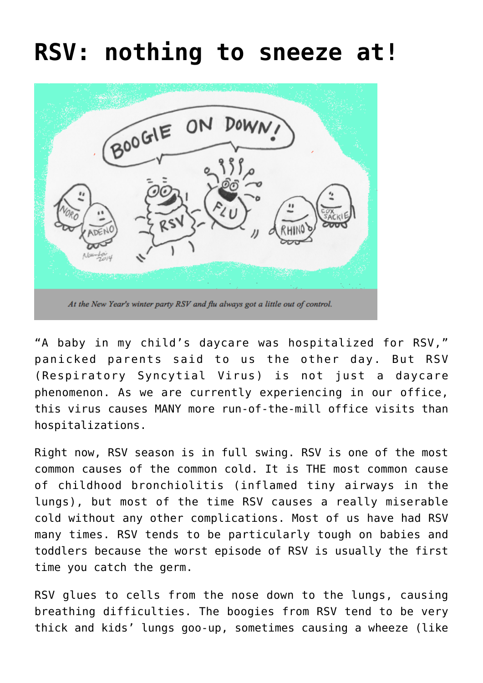## **[RSV: nothing to sneeze at!](https://www.twopedsinapod.org/2017/01/rsv-nothing-to-sneeze-at-2/)**



At the New Year's winter party RSV and flu always got a little out of control.

"A baby in my child's daycare was hospitalized for RSV," panicked parents said to us the other day. But RSV (Respiratory Syncytial Virus) is not just a daycare phenomenon. As we are currently experiencing in our office, this virus causes MANY more run-of-the-mill office visits than hospitalizations.

Right now, RSV season is in full swing. RSV is one of the most common causes of the common cold. It is THE most common cause of childhood bronchiolitis (inflamed tiny airways in the lungs), but most of the time RSV causes a really miserable cold without any other complications. Most of us have had RSV many times. RSV tends to be particularly tough on babies and toddlers because the worst episode of RSV is usually the first time you catch the germ.

RSV glues to cells from the nose down to the lungs, causing breathing difficulties. The boogies from RSV tend to be very thick and kids' lungs goo-up, sometimes causing a wheeze (like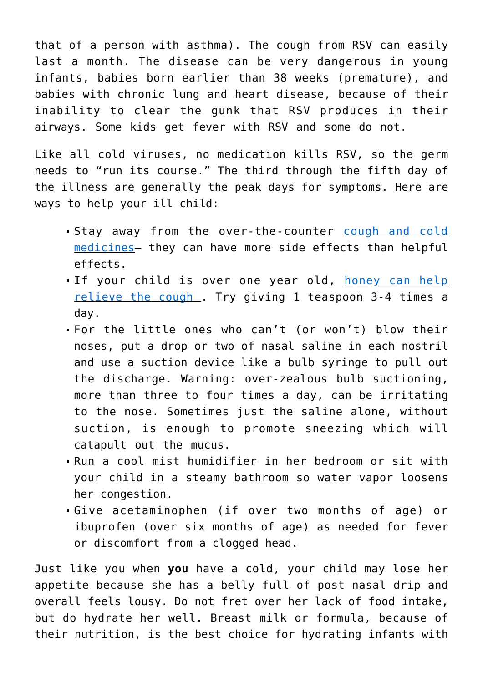that of a person with asthma). The cough from RSV can easily last a month. The disease can be very dangerous in young infants, babies born earlier than 38 weeks (premature), and babies with chronic lung and heart disease, because of their inability to clear the gunk that RSV produces in their airways. Some kids get fever with RSV and some do not.

Like all cold viruses, no medication kills RSV, so the germ needs to "run its course." The third through the fifth day of the illness are generally the peak days for symptoms. Here are ways to help your ill child:

- Stay away from the over-the-counter [cough and cold](https://www.twopedsinapod.org/2015/01/best-cold-medicine-for-child/) [medicines](https://www.twopedsinapod.org/2015/01/best-cold-medicine-for-child/)– they can have more side effects than helpful effects.
- If your child is over one year old, [honey can help](http://pediatrics.aappublications.org/content/130/3/465) [relieve the cough .](http://pediatrics.aappublications.org/content/130/3/465) Try giving 1 teaspoon 3-4 times a day.
- For the little ones who can't (or won't) blow their noses, put a drop or two of nasal saline in each nostril and use a suction device like a bulb syringe to pull out the discharge. Warning: over-zealous bulb suctioning, more than three to four times a day, can be irritating to the nose. Sometimes just the saline alone, without suction, is enough to promote sneezing which will catapult out the mucus.
- Run a cool mist humidifier in her bedroom or sit with your child in a steamy bathroom so water vapor loosens her congestion.
- Give acetaminophen (if over two months of age) or ibuprofen (over six months of age) as needed for fever or discomfort from a clogged head.

Just like you when **you** have a cold, your child may lose her appetite because she has a belly full of post nasal drip and overall feels lousy. Do not fret over her lack of food intake, but do hydrate her well. Breast milk or formula, because of their nutrition, is the best choice for hydrating infants with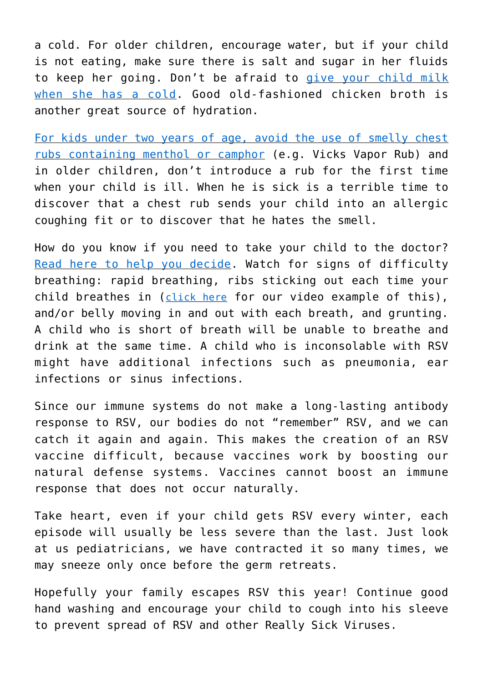a cold. For older children, encourage water, but if your child is not eating, make sure there is salt and sugar in her fluids to keep her going. Don't be afraid to [give your child milk](https://www.twopedsinapod.org/2013/09/got-milk-myths-about-milk/) [when she has a cold. G](https://www.twopedsinapod.org/2013/09/got-milk-myths-about-milk/)ood old-fashioned chicken broth is another great source of hydration[.](https://www.twopedsinapod.org/2013/09/got-milk-myths-about-milk/)

[For kids under two years of age, avoid the use of smelly chest](https://pediatricinsider.wordpress.com/2010/11/09/great-study-but-wrong-conclusion-the-vapo-rub-fail/) [rubs containing menthol or camphor](https://pediatricinsider.wordpress.com/2010/11/09/great-study-but-wrong-conclusion-the-vapo-rub-fail/) (e.g. Vicks Vapor Rub) and in older children, don't introduce a rub for the first time when your child is ill. When he is sick is a terrible time to discover that a chest rub sends your child into an allergic coughing fit or to discover that he hates the smell.

How do you know if you need to take your child to the doctor? [Read here to help you decide](https://www.twopedsinapod.org/2015/01/how-sick-is-sick-when-to-call-your-childs-doctor-about-illness/). Watch for signs of difficulty breathing: rapid breathing, ribs sticking out each time your child breathes in ([click here](http://www.youtube.com/watch?v=MydbWObLzDU) for our video example of this), and/or belly moving in and out with each breath, and grunting. A child who is short of breath will be unable to breathe and drink at the same time. A child who is inconsolable with RSV might have additional infections such as pneumonia, ear infections or sinus infections.

Since our immune systems do not make a long-lasting antibody response to RSV, our bodies do not "remember" RSV, and we can catch it again and again. This makes the creation of an RSV vaccine difficult, because vaccines work by boosting our natural defense systems. Vaccines cannot boost an immune response that does not occur naturally.

Take heart, even if your child gets RSV every winter, each episode will usually be less severe than the last. Just look at us pediatricians, we have contracted it so many times, we may sneeze only once before the germ retreats.

Hopefully your family escapes RSV this year! Continue good hand washing and encourage your child to cough into his sleeve to prevent spread of RSV and other Really Sick Viruses.